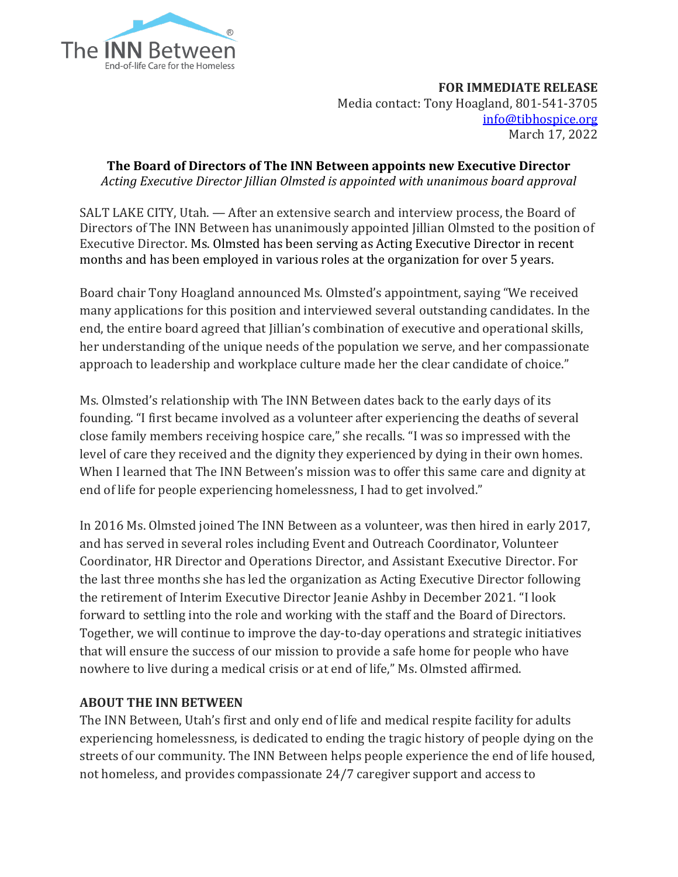

**FOR IMMEDIATE RELEASE** Media contact: Tony Hoagland, 801-541-3705 [info@tibhospice.org](mailto:info@tibhospice.org) March 17, 2022

**The Board of Directors of The INN Between appoints new Executive Director** *Acting Executive Director Jillian Olmsted is appointed with unanimous board approval*

SALT LAKE CITY, Utah. — After an extensive search and interview process, the Board of Directors of The INN Between has unanimously appointed Jillian Olmsted to the position of Executive Director. Ms. Olmsted has been serving as Acting Executive Director in recent months and has been employed in various roles at the organization for over 5 years.

Board chair Tony Hoagland announced Ms. Olmsted's appointment, saying "We received many applications for this position and interviewed several outstanding candidates. In the end, the entire board agreed that Jillian's combination of executive and operational skills, her understanding of the unique needs of the population we serve, and her compassionate approach to leadership and workplace culture made her the clear candidate of choice."

Ms. Olmsted's relationship with The INN Between dates back to the early days of its founding. "I first became involved as a volunteer after experiencing the deaths of several close family members receiving hospice care," she recalls. "I was so impressed with the level of care they received and the dignity they experienced by dying in their own homes. When I learned that The INN Between's mission was to offer this same care and dignity at end of life for people experiencing homelessness, I had to get involved."

In 2016 Ms. Olmsted joined The INN Between as a volunteer, was then hired in early 2017, and has served in several roles including Event and Outreach Coordinator, Volunteer Coordinator, HR Director and Operations Director, and Assistant Executive Director. For the last three months she has led the organization as Acting Executive Director following the retirement of Interim Executive Director Jeanie Ashby in December 2021. "I look forward to settling into the role and working with the staff and the Board of Directors. Together, we will continue to improve the day-to-day operations and strategic initiatives that will ensure the success of our mission to provide a safe home for people who have nowhere to live during a medical crisis or at end of life," Ms. Olmsted affirmed.

## **ABOUT THE INN BETWEEN**

The INN Between, Utah's first and only end of life and medical respite facility for adults experiencing homelessness, is dedicated to ending the tragic history of people dying on the streets of our community. The INN Between helps people experience the end of life housed, not homeless, and provides compassionate 24/7 caregiver support and access to